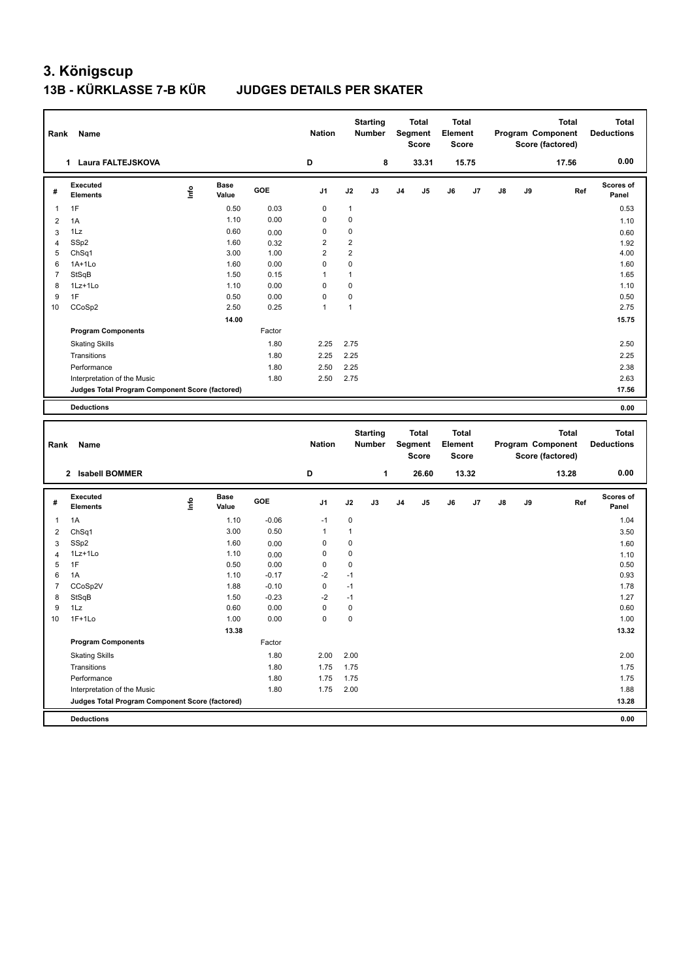| Rank           | Name                                            |      |                      |              | <b>Nation</b>           |                         | <b>Starting</b><br>Number |                | <b>Total</b><br>Segment<br><b>Score</b> | Element | Total<br>Score |    |    | <b>Total</b><br>Program Component<br>Score (factored) | Total<br><b>Deductions</b> |
|----------------|-------------------------------------------------|------|----------------------|--------------|-------------------------|-------------------------|---------------------------|----------------|-----------------------------------------|---------|----------------|----|----|-------------------------------------------------------|----------------------------|
|                | 1 Laura FALTEJSKOVA                             |      |                      |              | D                       |                         | 8                         |                | 33.31                                   |         | 15.75          |    |    | 17.56                                                 | 0.00                       |
| #              | <b>Executed</b><br><b>Elements</b>              | lnfo | <b>Base</b><br>Value | GOE          | J1                      | J2                      | J3                        | J <sub>4</sub> | J5                                      | J6      | J7             | J8 | J9 | Ref                                                   | <b>Scores of</b><br>Panel  |
| $\mathbf{1}$   | 1F                                              |      | 0.50                 | 0.03         | 0                       | $\mathbf{1}$            |                           |                |                                         |         |                |    |    |                                                       | 0.53                       |
| 2              | 1A                                              |      | 1.10                 | 0.00         | 0                       | 0                       |                           |                |                                         |         |                |    |    |                                                       | 1.10                       |
| 3              | 1Lz                                             |      | 0.60                 | 0.00         | 0                       | 0                       |                           |                |                                         |         |                |    |    |                                                       | 0.60                       |
| $\overline{4}$ | SSp2                                            |      | 1.60                 | 0.32         | $\overline{\mathbf{c}}$ | $\overline{\mathbf{c}}$ |                           |                |                                         |         |                |    |    |                                                       | 1.92                       |
| 5              | ChSq1                                           |      | 3.00                 | 1.00         | $\overline{2}$          | $\overline{2}$          |                           |                |                                         |         |                |    |    |                                                       | 4.00                       |
| 6              | $1A+1Lo$                                        |      | 1.60                 | 0.00         | 0                       | 0                       |                           |                |                                         |         |                |    |    |                                                       | 1.60                       |
| $\overline{7}$ | StSqB                                           |      | 1.50                 | 0.15         | $\mathbf{1}$            | $\mathbf{1}$            |                           |                |                                         |         |                |    |    |                                                       | 1.65                       |
| 8              | 1Lz+1Lo                                         |      | 1.10                 | 0.00         | 0                       | 0                       |                           |                |                                         |         |                |    |    |                                                       | 1.10                       |
| 9              | 1F                                              |      | 0.50                 | 0.00         | 0                       | $\mathbf 0$             |                           |                |                                         |         |                |    |    |                                                       | 0.50                       |
| 10             | CCoSp2                                          |      | 2.50                 | 0.25         | $\mathbf{1}$            | $\mathbf{1}$            |                           |                |                                         |         |                |    |    |                                                       | 2.75                       |
|                |                                                 |      | 14.00                |              |                         |                         |                           |                |                                         |         |                |    |    |                                                       | 15.75                      |
|                | <b>Program Components</b>                       |      |                      | Factor       |                         |                         |                           |                |                                         |         |                |    |    |                                                       |                            |
|                | <b>Skating Skills</b>                           |      |                      | 1.80         | 2.25                    | 2.75                    |                           |                |                                         |         |                |    |    |                                                       | 2.50                       |
|                | Transitions                                     |      |                      | 1.80         | 2.25                    | 2.25                    |                           |                |                                         |         |                |    |    |                                                       | 2.25                       |
|                | Performance                                     |      |                      | 1.80         | 2.50                    | 2.25                    |                           |                |                                         |         |                |    |    |                                                       | 2.38                       |
|                | Interpretation of the Music                     |      |                      | 1.80         | 2.50                    | 2.75                    |                           |                |                                         |         |                |    |    |                                                       | 2.63                       |
|                | Judges Total Program Component Score (factored) |      |                      |              |                         |                         |                           |                |                                         |         |                |    |    |                                                       | 17.56                      |
|                | <b>Deductions</b>                               |      |                      |              |                         |                         |                           |                |                                         |         |                |    |    |                                                       | 0.00                       |
|                |                                                 |      |                      |              |                         |                         |                           |                |                                         |         |                |    |    |                                                       |                            |
|                |                                                 |      |                      |              |                         |                         |                           |                |                                         |         |                |    |    |                                                       |                            |
|                |                                                 |      |                      |              |                         |                         | <b>Starting</b>           |                | <b>Total</b>                            |         | Total          |    |    | <b>Total</b>                                          | <b>Total</b>               |
| Rank           | Name                                            |      |                      |              | <b>Nation</b>           |                         | <b>Number</b>             |                | Segment                                 | Element |                |    |    | Program Component                                     | <b>Deductions</b>          |
|                |                                                 |      |                      |              |                         |                         |                           |                | <b>Score</b>                            |         | Score          |    |    | Score (factored)                                      |                            |
|                | 2 Isabell BOMMER                                |      |                      |              | D                       |                         | 1                         |                | 26.60                                   |         | 13.32          |    |    | 13.28                                                 | 0.00                       |
| #              | <b>Executed</b><br><b>Elements</b>              | lnfo | Base<br>Value        | GOE          | J1                      | J2                      | J3                        | J <sub>4</sub> | J5                                      | J6      | J7             | J8 | J9 | Ref                                                   | <b>Scores of</b><br>Panel  |
| 1              |                                                 |      |                      |              | $-1$                    |                         |                           |                |                                         |         |                |    |    |                                                       |                            |
|                | 1A                                              |      | 1.10                 | $-0.06$      |                         | 0                       |                           |                |                                         |         |                |    |    |                                                       | 1.04                       |
| 2              | ChSq1                                           |      | 3.00                 | 0.50         | $\mathbf{1}$            | $\mathbf{1}$            |                           |                |                                         |         |                |    |    |                                                       | 3.50                       |
| 3              | SSp2                                            |      | 1.60                 | 0.00         | 0                       | 0                       |                           |                |                                         |         |                |    |    |                                                       | 1.60                       |
| $\overline{4}$ | 1Lz+1Lo                                         |      | 1.10                 | 0.00         | 0                       | 0                       |                           |                |                                         |         |                |    |    |                                                       | 1.10                       |
| 5              | 1F                                              |      | 0.50                 | 0.00         | 0                       | 0                       |                           |                |                                         |         |                |    |    |                                                       | 0.50                       |
| 6              | 1A                                              |      | 1.10                 | $-0.17$      | $-2$                    | $-1$                    |                           |                |                                         |         |                |    |    |                                                       | 0.93                       |
| $\overline{7}$ | CCoSp2V                                         |      | 1.88                 | $-0.10$      | 0                       | $-1$                    |                           |                |                                         |         |                |    |    |                                                       | 1.78                       |
| 8              | StSqB                                           |      | 1.50                 | $-0.23$      | $-2$                    | $-1$                    |                           |                |                                         |         |                |    |    |                                                       | 1.27                       |
| 9<br>10        | 1Lz<br>$1F+1Lo$                                 |      | 0.60<br>1.00         | 0.00<br>0.00 | 0<br>0                  | 0<br>$\pmb{0}$          |                           |                |                                         |         |                |    |    |                                                       | 0.60<br>1.00               |
|                |                                                 |      |                      |              |                         |                         |                           |                |                                         |         |                |    |    |                                                       |                            |
|                |                                                 |      | 13.38                | Factor       |                         |                         |                           |                |                                         |         |                |    |    |                                                       | 13.32                      |
|                | <b>Program Components</b>                       |      |                      |              |                         |                         |                           |                |                                         |         |                |    |    |                                                       |                            |
|                | <b>Skating Skills</b>                           |      |                      | 1.80         | 2.00                    | 2.00                    |                           |                |                                         |         |                |    |    |                                                       | 2.00                       |
|                | Transitions                                     |      |                      | 1.80         | 1.75                    | 1.75                    |                           |                |                                         |         |                |    |    |                                                       | 1.75                       |
|                | Performance                                     |      |                      | 1.80         | 1.75                    | 1.75                    |                           |                |                                         |         |                |    |    |                                                       | 1.75                       |
|                | Interpretation of the Music                     |      |                      | 1.80         | 1.75                    | 2.00                    |                           |                |                                         |         |                |    |    |                                                       | 1.88                       |
|                | Judges Total Program Component Score (factored) |      |                      |              |                         |                         |                           |                |                                         |         |                |    |    |                                                       | 13.28                      |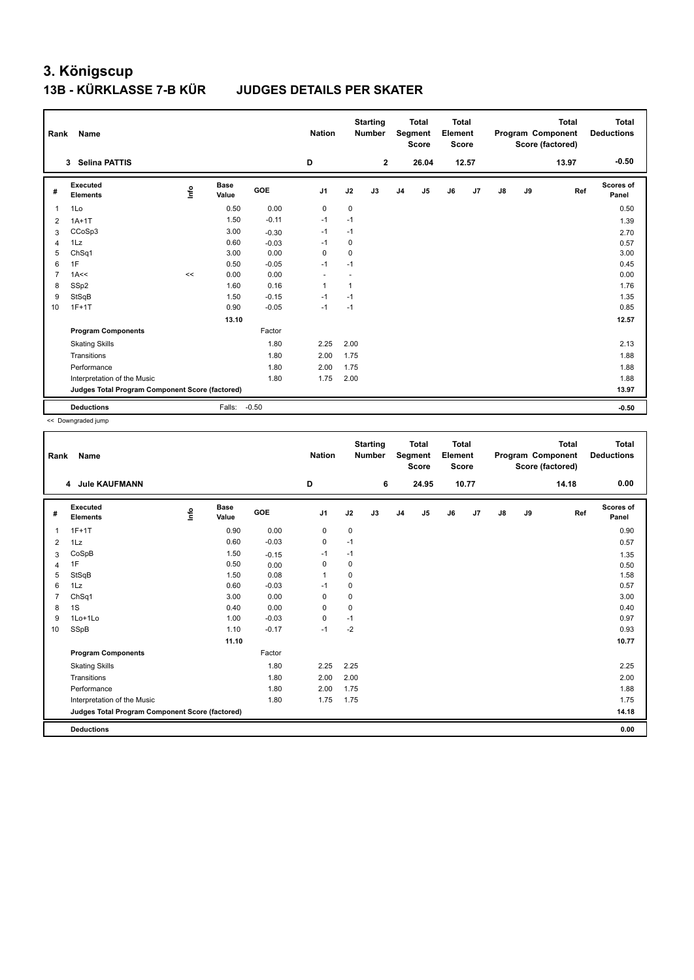| Rank           | Name                                            |      |                      |         | <b>Nation</b>  |             | <b>Starting</b><br><b>Number</b> |                | <b>Total</b><br>Segment<br><b>Score</b> | <b>Total</b><br>Element<br><b>Score</b> |       |               |    | <b>Total</b><br>Program Component<br>Score (factored) | Total<br><b>Deductions</b> |
|----------------|-------------------------------------------------|------|----------------------|---------|----------------|-------------|----------------------------------|----------------|-----------------------------------------|-----------------------------------------|-------|---------------|----|-------------------------------------------------------|----------------------------|
|                | <b>Selina PATTIS</b><br>3                       |      |                      |         | D              |             | $\mathbf{2}$                     |                | 26.04                                   |                                         | 12.57 |               |    | 13.97                                                 | $-0.50$                    |
| #              | Executed<br><b>Elements</b>                     | lnfo | <b>Base</b><br>Value | GOE     | J <sub>1</sub> | J2          | J3                               | J <sub>4</sub> | J5                                      | J6                                      | J7    | $\mathsf{J}8$ | J9 | Ref                                                   | <b>Scores of</b><br>Panel  |
| $\overline{1}$ | 1Lo                                             |      | 0.50                 | 0.00    | $\mathbf 0$    | $\mathbf 0$ |                                  |                |                                         |                                         |       |               |    |                                                       | 0.50                       |
| 2              | $1A+1T$                                         |      | 1.50                 | $-0.11$ | $-1$           | $-1$        |                                  |                |                                         |                                         |       |               |    |                                                       | 1.39                       |
| 3              | CCoSp3                                          |      | 3.00                 | $-0.30$ | $-1$           | $-1$        |                                  |                |                                         |                                         |       |               |    |                                                       | 2.70                       |
| $\overline{4}$ | 1Lz                                             |      | 0.60                 | $-0.03$ | $-1$           | $\mathbf 0$ |                                  |                |                                         |                                         |       |               |    |                                                       | 0.57                       |
| 5              | Ch <sub>Sq1</sub>                               |      | 3.00                 | 0.00    | 0              | 0           |                                  |                |                                         |                                         |       |               |    |                                                       | 3.00                       |
| 6              | 1F                                              |      | 0.50                 | $-0.05$ | $-1$           | $-1$        |                                  |                |                                         |                                         |       |               |    |                                                       | 0.45                       |
| $\overline{7}$ | 1A<<                                            | <<   | 0.00                 | 0.00    | ٠              |             |                                  |                |                                         |                                         |       |               |    |                                                       | 0.00                       |
| 8              | SSp2                                            |      | 1.60                 | 0.16    | $\mathbf{1}$   | 1           |                                  |                |                                         |                                         |       |               |    |                                                       | 1.76                       |
| 9              | StSqB                                           |      | 1.50                 | $-0.15$ | $-1$           | $-1$        |                                  |                |                                         |                                         |       |               |    |                                                       | 1.35                       |
| 10             | $1F+1T$                                         |      | 0.90                 | $-0.05$ | $-1$           | $-1$        |                                  |                |                                         |                                         |       |               |    |                                                       | 0.85                       |
|                |                                                 |      | 13.10                |         |                |             |                                  |                |                                         |                                         |       |               |    |                                                       | 12.57                      |
|                | <b>Program Components</b>                       |      |                      | Factor  |                |             |                                  |                |                                         |                                         |       |               |    |                                                       |                            |
|                | <b>Skating Skills</b>                           |      |                      | 1.80    | 2.25           | 2.00        |                                  |                |                                         |                                         |       |               |    |                                                       | 2.13                       |
|                | Transitions                                     |      |                      | 1.80    | 2.00           | 1.75        |                                  |                |                                         |                                         |       |               |    |                                                       | 1.88                       |
|                | Performance                                     |      |                      | 1.80    | 2.00           | 1.75        |                                  |                |                                         |                                         |       |               |    |                                                       | 1.88                       |
|                | Interpretation of the Music                     |      |                      | 1.80    | 1.75           | 2.00        |                                  |                |                                         |                                         |       |               |    |                                                       | 1.88                       |
|                | Judges Total Program Component Score (factored) |      |                      |         |                |             |                                  |                |                                         |                                         |       |               |    |                                                       | 13.97                      |
|                | <b>Deductions</b>                               |      | Falls:               | $-0.50$ |                |             |                                  |                |                                         |                                         |       |               |    |                                                       | $-0.50$                    |

<< Downgraded jump

| Rank           | Name                                            |      |                      |            | <b>Nation</b>  |           | <b>Starting</b><br><b>Number</b> |                | <b>Total</b><br>Segment<br><b>Score</b> | <b>Total</b><br>Element<br><b>Score</b> |       |               |    | <b>Total</b><br>Program Component<br>Score (factored) | <b>Total</b><br><b>Deductions</b> |
|----------------|-------------------------------------------------|------|----------------------|------------|----------------|-----------|----------------------------------|----------------|-----------------------------------------|-----------------------------------------|-------|---------------|----|-------------------------------------------------------|-----------------------------------|
|                | 4 Jule KAUFMANN                                 |      |                      |            | D              |           | 6                                |                | 24.95                                   |                                         | 10.77 |               |    | 14.18                                                 | 0.00                              |
| #              | Executed<br><b>Elements</b>                     | Info | <b>Base</b><br>Value | <b>GOE</b> | J <sub>1</sub> | J2        | J3                               | J <sub>4</sub> | J5                                      | J6                                      | J7    | $\mathsf{J}8$ | J9 | Ref                                                   | <b>Scores of</b><br>Panel         |
| $\mathbf{1}$   | $1F+1T$                                         |      | 0.90                 | 0.00       | 0              | 0         |                                  |                |                                         |                                         |       |               |    |                                                       | 0.90                              |
| 2              | 1Lz                                             |      | 0.60                 | $-0.03$    | 0              | $-1$      |                                  |                |                                         |                                         |       |               |    |                                                       | 0.57                              |
| 3              | CoSpB                                           |      | 1.50                 | $-0.15$    | $-1$           | $-1$      |                                  |                |                                         |                                         |       |               |    |                                                       | 1.35                              |
| $\overline{4}$ | 1F                                              |      | 0.50                 | 0.00       | $\mathbf 0$    | $\pmb{0}$ |                                  |                |                                         |                                         |       |               |    |                                                       | 0.50                              |
| 5              | StSqB                                           |      | 1.50                 | 0.08       | $\overline{1}$ | 0         |                                  |                |                                         |                                         |       |               |    |                                                       | 1.58                              |
| 6              | 1Lz                                             |      | 0.60                 | $-0.03$    | -1             | 0         |                                  |                |                                         |                                         |       |               |    |                                                       | 0.57                              |
| $\overline{7}$ | ChSq1                                           |      | 3.00                 | 0.00       | 0              | 0         |                                  |                |                                         |                                         |       |               |    |                                                       | 3.00                              |
| 8              | 1S                                              |      | 0.40                 | 0.00       | 0              | 0         |                                  |                |                                         |                                         |       |               |    |                                                       | 0.40                              |
| 9              | $1$ Lo $+1$ Lo                                  |      | 1.00                 | $-0.03$    | 0              | $-1$      |                                  |                |                                         |                                         |       |               |    |                                                       | 0.97                              |
| 10             | SSpB                                            |      | 1.10                 | $-0.17$    | $-1$           | $-2$      |                                  |                |                                         |                                         |       |               |    |                                                       | 0.93                              |
|                |                                                 |      | 11.10                |            |                |           |                                  |                |                                         |                                         |       |               |    |                                                       | 10.77                             |
|                | <b>Program Components</b>                       |      |                      | Factor     |                |           |                                  |                |                                         |                                         |       |               |    |                                                       |                                   |
|                | <b>Skating Skills</b>                           |      |                      | 1.80       | 2.25           | 2.25      |                                  |                |                                         |                                         |       |               |    |                                                       | 2.25                              |
|                | Transitions                                     |      |                      | 1.80       | 2.00           | 2.00      |                                  |                |                                         |                                         |       |               |    |                                                       | 2.00                              |
|                | Performance                                     |      |                      | 1.80       | 2.00           | 1.75      |                                  |                |                                         |                                         |       |               |    |                                                       | 1.88                              |
|                | Interpretation of the Music                     |      |                      | 1.80       | 1.75           | 1.75      |                                  |                |                                         |                                         |       |               |    |                                                       | 1.75                              |
|                | Judges Total Program Component Score (factored) |      |                      |            |                |           |                                  |                |                                         |                                         |       |               |    |                                                       | 14.18                             |
|                | <b>Deductions</b>                               |      |                      |            |                |           |                                  |                |                                         |                                         |       |               |    |                                                       | 0.00                              |
|                |                                                 |      |                      |            |                |           |                                  |                |                                         |                                         |       |               |    |                                                       |                                   |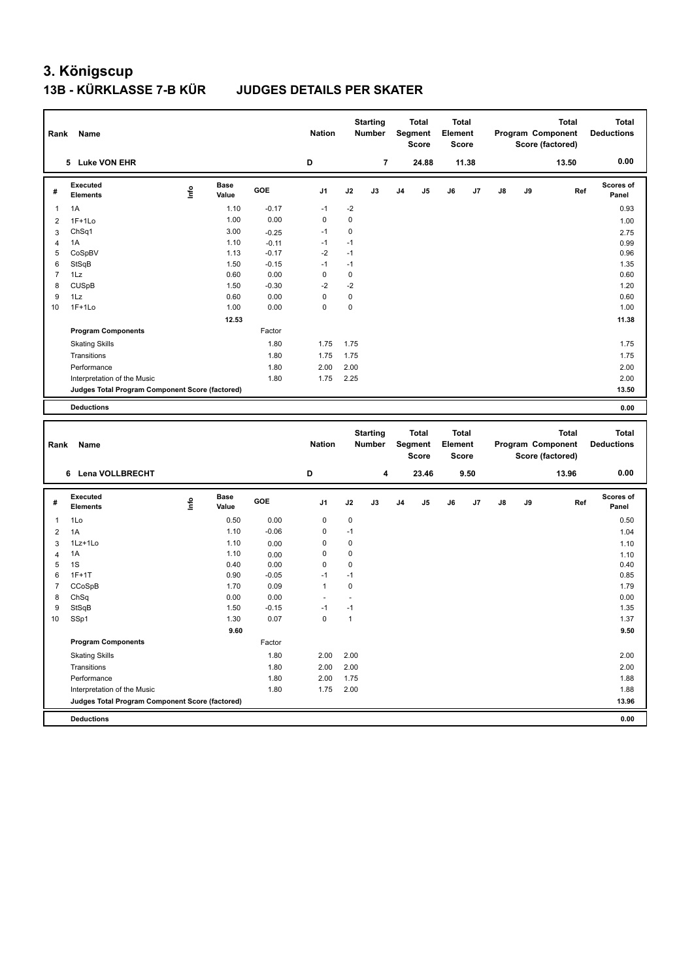|                | Rank Name                                                                      |      |                      |                 | <b>Nation</b>                  |                   | <b>Starting</b><br>Number        |                | <b>Total</b><br>Segment<br><b>Score</b>        | <b>Total</b><br>Element<br><b>Score</b> |       |               |    | <b>Total</b><br>Program Component<br>Score (factored) |     | <b>Total</b><br><b>Deductions</b> |
|----------------|--------------------------------------------------------------------------------|------|----------------------|-----------------|--------------------------------|-------------------|----------------------------------|----------------|------------------------------------------------|-----------------------------------------|-------|---------------|----|-------------------------------------------------------|-----|-----------------------------------|
|                | 5 Luke VON EHR                                                                 |      |                      |                 | D                              |                   | $\overline{7}$                   |                | 24.88                                          |                                         | 11.38 |               |    | 13.50                                                 |     | 0.00                              |
| #              | Executed<br><b>Elements</b>                                                    | lnfo | <b>Base</b><br>Value | GOE             | J1                             | J2                | J3                               | J <sub>4</sub> | J5                                             | J6                                      | J7    | $\mathsf{J}8$ | J9 |                                                       | Ref | Scores of<br>Panel                |
| $\mathbf{1}$   | 1A                                                                             |      | 1.10                 | $-0.17$         | $-1$                           | $-2$              |                                  |                |                                                |                                         |       |               |    |                                                       |     | 0.93                              |
| $\overline{2}$ | $1F+1Lo$                                                                       |      | 1.00                 | 0.00            | 0                              | $\pmb{0}$         |                                  |                |                                                |                                         |       |               |    |                                                       |     | 1.00                              |
| 3              | ChSq1                                                                          |      | 3.00                 | $-0.25$         | $-1$                           | $\mathbf 0$       |                                  |                |                                                |                                         |       |               |    |                                                       |     | 2.75                              |
| $\overline{4}$ | 1A                                                                             |      | 1.10                 | $-0.11$         | $-1$                           | $-1$              |                                  |                |                                                |                                         |       |               |    |                                                       |     | 0.99                              |
| 5              | CoSpBV                                                                         |      | 1.13                 | $-0.17$         | $-2$                           | $-1$              |                                  |                |                                                |                                         |       |               |    |                                                       |     | 0.96                              |
| 6              | StSqB                                                                          |      | 1.50                 | $-0.15$         | $-1$                           | $-1$              |                                  |                |                                                |                                         |       |               |    |                                                       |     | 1.35                              |
| $\overline{7}$ | 1Lz                                                                            |      | 0.60                 | 0.00            | $\mathbf 0$                    | $\mathbf 0$       |                                  |                |                                                |                                         |       |               |    |                                                       |     | 0.60                              |
| 8              | <b>CUSpB</b>                                                                   |      | 1.50                 | $-0.30$         | $-2$                           | $-2$              |                                  |                |                                                |                                         |       |               |    |                                                       |     | 1.20                              |
| 9              | 1Lz                                                                            |      | 0.60                 | 0.00            | 0                              | $\mathbf 0$       |                                  |                |                                                |                                         |       |               |    |                                                       |     | 0.60                              |
| 10             | $1F+1Lo$                                                                       |      | 1.00                 | 0.00            | $\mathbf 0$                    | $\mathbf 0$       |                                  |                |                                                |                                         |       |               |    |                                                       |     | 1.00                              |
|                |                                                                                |      | 12.53                |                 |                                |                   |                                  |                |                                                |                                         |       |               |    |                                                       |     | 11.38                             |
|                | <b>Program Components</b>                                                      |      |                      | Factor          |                                |                   |                                  |                |                                                |                                         |       |               |    |                                                       |     |                                   |
|                | <b>Skating Skills</b>                                                          |      |                      | 1.80            | 1.75                           | 1.75              |                                  |                |                                                |                                         |       |               |    |                                                       |     | 1.75                              |
|                | Transitions                                                                    |      |                      | 1.80            | 1.75                           | 1.75              |                                  |                |                                                |                                         |       |               |    |                                                       |     | 1.75                              |
|                | Performance                                                                    |      |                      | 1.80            | 2.00                           | 2.00              |                                  |                |                                                |                                         |       |               |    |                                                       |     | 2.00                              |
|                | Interpretation of the Music                                                    |      |                      | 1.80            | 1.75                           | 2.25              |                                  |                |                                                |                                         |       |               |    |                                                       |     | 2.00                              |
|                | Judges Total Program Component Score (factored)                                |      |                      |                 |                                |                   |                                  |                |                                                |                                         |       |               |    |                                                       |     | 13.50                             |
|                |                                                                                |      |                      |                 |                                |                   |                                  |                |                                                |                                         |       |               |    |                                                       |     |                                   |
|                | <b>Deductions</b>                                                              |      |                      |                 |                                |                   |                                  |                |                                                |                                         |       |               |    |                                                       |     | 0.00                              |
|                |                                                                                |      |                      |                 |                                |                   |                                  |                |                                                |                                         |       |               |    |                                                       |     |                                   |
| Rank           | Name                                                                           |      |                      |                 | <b>Nation</b>                  |                   | <b>Starting</b><br><b>Number</b> |                | <b>Total</b><br><b>Segment</b><br><b>Score</b> | <b>Total</b><br>Element<br>Score        |       |               |    | <b>Total</b><br>Program Component<br>Score (factored) |     | <b>Total</b><br><b>Deductions</b> |
|                | 6 Lena VOLLBRECHT                                                              |      |                      |                 | D                              |                   | 4                                |                | 23.46                                          |                                         | 9.50  |               |    | 13.96                                                 |     | 0.00                              |
| #              | Executed                                                                       |      | <b>Base</b>          | GOE             | J1                             | J2                | J3                               | J <sub>4</sub> | J5                                             | J6                                      | J7    | J8            | J9 |                                                       | Ref | Scores of                         |
|                | <b>Elements</b>                                                                | lnfo | Value                |                 |                                |                   |                                  |                |                                                |                                         |       |               |    |                                                       |     | Panel                             |
| $\mathbf{1}$   | 1Lo                                                                            |      | 0.50                 | 0.00            | $\mathbf 0$                    | $\mathbf 0$       |                                  |                |                                                |                                         |       |               |    |                                                       |     | 0.50                              |
| $\overline{2}$ | 1A                                                                             |      | 1.10                 | $-0.06$         | $\mathbf 0$                    | $-1$              |                                  |                |                                                |                                         |       |               |    |                                                       |     | 1.04                              |
| 3              | 1Lz+1Lo                                                                        |      | 1.10                 | 0.00            | $\mathbf 0$                    | $\mathbf 0$       |                                  |                |                                                |                                         |       |               |    |                                                       |     | 1.10                              |
| $\overline{4}$ | 1A                                                                             |      | 1.10                 | 0.00            | $\mathbf 0$                    | $\mathbf 0$       |                                  |                |                                                |                                         |       |               |    |                                                       |     | 1.10                              |
| 5              | 1S                                                                             |      | 0.40                 | 0.00            | 0                              | $\mathbf 0$       |                                  |                |                                                |                                         |       |               |    |                                                       |     | 0.40                              |
| 6              | $1F+1T$                                                                        |      | 0.90                 | $-0.05$         | $-1$                           | $-1$              |                                  |                |                                                |                                         |       |               |    |                                                       |     | 0.85                              |
| $\overline{7}$ | CCoSpB                                                                         |      | 1.70                 | 0.09            | $\mathbf{1}$<br>$\overline{a}$ | $\mathbf 0$<br>÷. |                                  |                |                                                |                                         |       |               |    |                                                       |     | 1.79                              |
| 8<br>9         | ChSq                                                                           |      | 0.00<br>1.50         | 0.00<br>$-0.15$ | $-1$                           | $-1$              |                                  |                |                                                |                                         |       |               |    |                                                       |     | 0.00<br>1.35                      |
| 10             | StSqB                                                                          |      | 1.30                 | 0.07            | $\mathbf 0$                    | $\mathbf{1}$      |                                  |                |                                                |                                         |       |               |    |                                                       |     | 1.37                              |
|                | SSp1                                                                           |      |                      |                 |                                |                   |                                  |                |                                                |                                         |       |               |    |                                                       |     |                                   |
|                |                                                                                |      | 9.60                 | Factor          |                                |                   |                                  |                |                                                |                                         |       |               |    |                                                       |     | 9.50                              |
|                | <b>Program Components</b>                                                      |      |                      |                 |                                |                   |                                  |                |                                                |                                         |       |               |    |                                                       |     |                                   |
|                | <b>Skating Skills</b>                                                          |      |                      | 1.80            | 2.00                           | 2.00              |                                  |                |                                                |                                         |       |               |    |                                                       |     | 2.00                              |
|                | Transitions                                                                    |      |                      | 1.80            | 2.00                           | 2.00              |                                  |                |                                                |                                         |       |               |    |                                                       |     | 2.00                              |
|                | Performance                                                                    |      |                      | 1.80            | 2.00                           | 1.75              |                                  |                |                                                |                                         |       |               |    |                                                       |     | 1.88                              |
|                | Interpretation of the Music<br>Judges Total Program Component Score (factored) |      |                      | 1.80            | 1.75                           | 2.00              |                                  |                |                                                |                                         |       |               |    |                                                       |     | 1.88<br>13.96                     |

**Deductions 0.00**